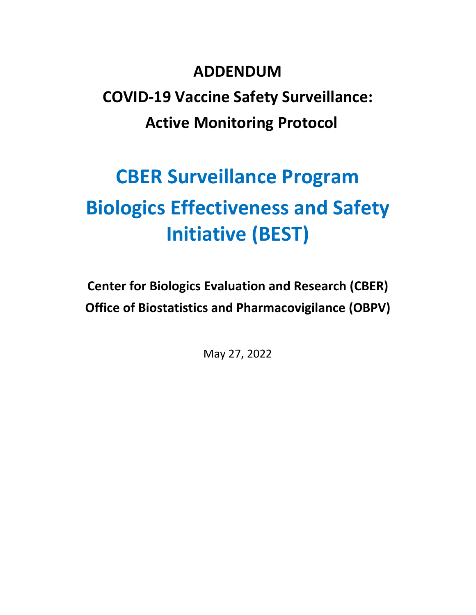# **ADDENDUM COVID-19 Vaccine Safety Surveillance: Active Monitoring Protocol**

# **CBER Surveillance Program Biologics Effectiveness and Safety Initiative (BEST)**

**Center for Biologics Evaluation and Research (CBER) Office of Biostatistics and Pharmacovigilance (OBPV)** 

May 27, 2022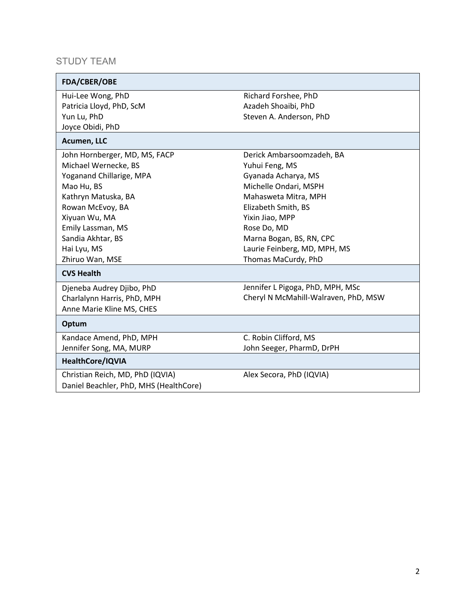## STUDY TEAM

| FDA/CBER/OBE                           |                                      |
|----------------------------------------|--------------------------------------|
| Hui-Lee Wong, PhD                      | Richard Forshee, PhD                 |
| Patricia Lloyd, PhD, ScM               | Azadeh Shoaibi, PhD                  |
| Yun Lu, PhD                            | Steven A. Anderson, PhD              |
| Joyce Obidi, PhD                       |                                      |
| Acumen, LLC                            |                                      |
| John Hornberger, MD, MS, FACP          | Derick Ambarsoomzadeh, BA            |
| Michael Wernecke, BS                   | Yuhui Feng, MS                       |
| Yoganand Chillarige, MPA               | Gyanada Acharya, MS                  |
| Mao Hu, BS                             | Michelle Ondari, MSPH                |
| Kathryn Matuska, BA                    | Mahasweta Mitra, MPH                 |
| Rowan McEvoy, BA                       | Elizabeth Smith, BS                  |
| Xiyuan Wu, MA                          | Yixin Jiao, MPP                      |
| Emily Lassman, MS                      | Rose Do, MD                          |
| Sandia Akhtar, BS                      | Marna Bogan, BS, RN, CPC             |
| Hai Lyu, MS                            | Laurie Feinberg, MD, MPH, MS         |
| Zhiruo Wan, MSE                        | Thomas MaCurdy, PhD                  |
| <b>CVS Health</b>                      |                                      |
| Djeneba Audrey Djibo, PhD              | Jennifer L Pigoga, PhD, MPH, MSc     |
| Charlalynn Harris, PhD, MPH            | Cheryl N McMahill-Walraven, PhD, MSW |
| Anne Marie Kline MS, CHES              |                                      |
| Optum                                  |                                      |
| Kandace Amend, PhD, MPH                | C. Robin Clifford, MS                |
| Jennifer Song, MA, MURP                | John Seeger, PharmD, DrPH            |
| HealthCore/IQVIA                       |                                      |
| Christian Reich, MD, PhD (IQVIA)       | Alex Secora, PhD (IQVIA)             |
| Daniel Beachler, PhD, MHS (HealthCore) |                                      |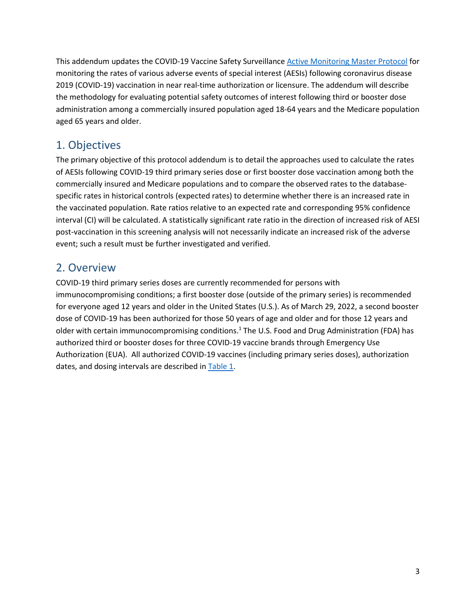This addendum updates the COVID-19 Vaccine Safety Surveillance [Active Monitoring Master Protocol](https://www.bestinitiative.org/wp-content/uploads/2021/02/C19-Vaccine-Safety-Protocol-2021.pdf) for monitoring the rates of various adverse events of special interest (AESIs) following coronavirus disease 2019 (COVID-19) vaccination in near real-time authorization or licensure. The addendum will describe the methodology for evaluating potential safety outcomes of interest following third or booster dose administration among a commercially insured population aged 18-64 years and the Medicare population aged 65 years and older.

# 1. Objectives

The primary objective of this protocol addendum is to detail the approaches used to calculate the rates of AESIs following COVID-19 third primary series dose or first booster dose vaccination among both the commercially insured and Medicare populations and to compare the observed rates to the databasespecific rates in historical controls (expected rates) to determine whether there is an increased rate in the vaccinated population. Rate ratios relative to an expected rate and corresponding 95% confidence interval (CI) will be calculated. A statistically significant rate ratio in the direction of increased risk of AESI post-vaccination in this screening analysis will not necessarily indicate an increased risk of the adverse event; such a result must be further investigated and verified.

## 2. Overview

COVID-19 third primary series doses are currently recommended for persons with immunocompromising conditions; a first booster dose (outside of the primary series) is recommended for everyone aged 12 years and older in the United States (U.S.). As of March 29, 2022, a second booster dose of COVID-19 has been authorized for those 50 years of age and older and for those 12 years and older with certain immunocompromising conditions.<sup>1</sup> The U.S. Food and Drug Administration (FDA) has authorized third or booster doses for three COVID-19 vaccine brands through Emergency Use Authorization (EUA). All authorized COVID-19 vaccines (including primary series doses), authorization dates, and dosing intervals are described i[n Table 1.](#page-3-0)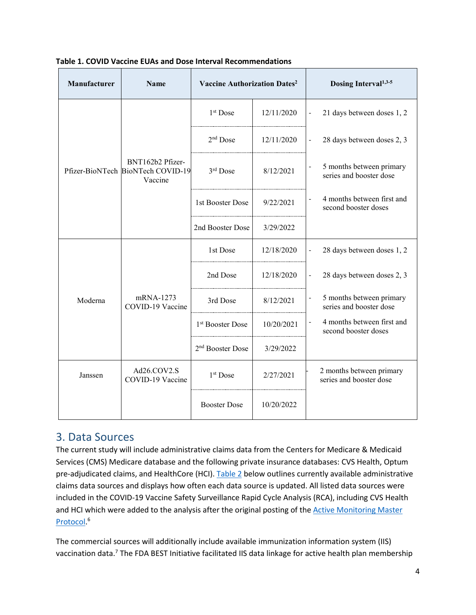| Manufacturer | <b>Name</b>                                                      | Vaccine Authorization Dates <sup>2</sup>  |            | Dosing Interval <sup>1,3-5</sup>                                    |
|--------------|------------------------------------------------------------------|-------------------------------------------|------------|---------------------------------------------------------------------|
|              |                                                                  | 1 <sup>st</sup> Dose                      | 12/11/2020 | 21 days between doses 1, 2<br>$\frac{1}{2}$                         |
|              |                                                                  | $2nd$ Dose                                | 12/11/2020 | 28 days between doses 2, 3<br>$\overline{\phantom{a}}$              |
|              | BNT162b2 Pfizer-<br>Pfizer-BioNTech BioNTech COVID-19<br>Vaccine | 3rd Dose<br>8/12/2021                     |            | 5 months between primary<br>series and booster dose                 |
|              |                                                                  | 1st Booster Dose                          | 9/22/2021  | 4 months between first and<br>second booster doses                  |
|              |                                                                  | 2nd Booster Dose                          | 3/29/2022  |                                                                     |
|              |                                                                  | 1st Dose                                  | 12/18/2020 | 28 days between doses 1, 2                                          |
|              | mRNA-1273<br>COVID-19 Vaccine                                    | 2nd Dose                                  | 12/18/2020 | 28 days between doses 2, 3<br>$\blacksquare$                        |
| Moderna      |                                                                  | 3rd Dose                                  | 8/12/2021  | 5 months between primary<br>series and booster dose                 |
|              |                                                                  | 1 <sup>st</sup> Booster Dose              | 10/20/2021 | 4 months between first and<br>$\frac{1}{2}$<br>second booster doses |
|              |                                                                  | 2 <sup>nd</sup> Booster Dose<br>3/29/2022 |            |                                                                     |
| Janssen      | Ad26.COV2.S<br>COVID-19 Vaccine                                  | 1 <sup>st</sup> Dose                      | 2/27/2021  | 2 months between primary<br>series and booster dose                 |
|              |                                                                  | <b>Booster Dose</b>                       | 10/20/2022 |                                                                     |

#### <span id="page-3-0"></span>**Table 1. COVID Vaccine EUAs and Dose Interval Recommendations**

## 3. Data Sources

The current study will include administrative claims data from the Centers for Medicare & Medicaid Services (CMS) Medicare database and the following private insurance databases: CVS Health, Optum pre-adjudicated claims, and HealthCore (HCI). [Table 2](#page-4-0) below outlines currently available administrative claims data sources and displays how often each data source is updated. All listed data sources were included in the COVID-19 Vaccine Safety Surveillance Rapid Cycle Analysis (RCA), including CVS Health and HCI which were added to the analysis after the original posting of the **Active Monitoring Master** [Protocol.](https://www.bestinitiative.org/wp-content/uploads/2021/02/C19-Vaccine-Safety-Protocol-2021.pdf) 6

The commercial sources will additionally include available immunization information system (IIS) vaccination data.<sup>7</sup> The FDA BEST Initiative facilitated IIS data linkage for active health plan membership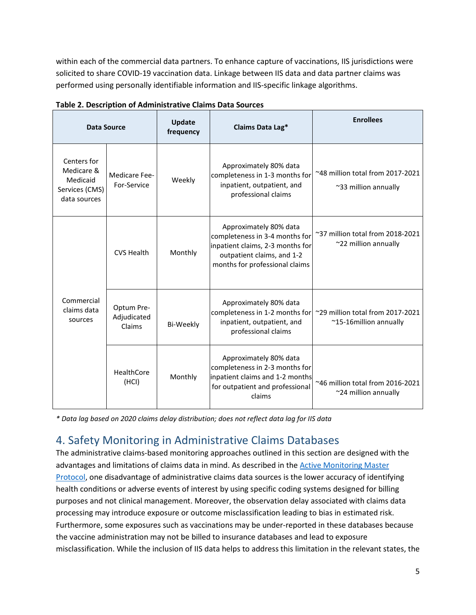within each of the commercial data partners. To enhance capture of vaccinations, IIS jurisdictions were solicited to share COVID-19 vaccination data. Linkage between IIS data and data partner claims was performed using personally identifiable information and IIS-specific linkage algorithms.

| <b>Data Source</b>                                                      |                                     | Update<br>frequency | Claims Data Lag*                                                                                                                                             | <b>Enrollees</b>                                           |
|-------------------------------------------------------------------------|-------------------------------------|---------------------|--------------------------------------------------------------------------------------------------------------------------------------------------------------|------------------------------------------------------------|
| Centers for<br>Medicare &<br>Medicaid<br>Services (CMS)<br>data sources | Medicare Fee-<br>For-Service        | Weekly              | Approximately 80% data<br>completeness in 1-3 months for<br>inpatient, outpatient, and<br>professional claims                                                | ~48 million total from 2017-2021<br>~33 million annually   |
|                                                                         | <b>CVS Health</b>                   | Monthly             | Approximately 80% data<br>completeness in 3-4 months for<br>inpatient claims, 2-3 months for<br>outpatient claims, and 1-2<br>months for professional claims | ~37 million total from 2018-2021<br>~22 million annually   |
| Commercial<br>claims data<br>sources                                    | Optum Pre-<br>Adjudicated<br>Claims | Bi-Weekly           | Approximately 80% data<br>completeness in 1-2 months for<br>inpatient, outpatient, and<br>professional claims                                                | ~29 million total from 2017-2021<br>~15-16million annually |
|                                                                         | HealthCore<br>(HCI)                 | Monthly             | Approximately 80% data<br>completeness in 2-3 months for<br>inpatient claims and 1-2 months<br>for outpatient and professional<br>claims                     | ~46 million total from 2016-2021<br>~24 million annually   |

<span id="page-4-0"></span>

| Table 2. Description of Administrative Claims Data Sources |
|------------------------------------------------------------|
|------------------------------------------------------------|

*\* Data lag based on 2020 claims delay distribution; does not reflect data lag for IIS data*

# 4. Safety Monitoring in Administrative Claims Databases

The administrative claims-based monitoring approaches outlined in this section are designed with the advantages and limitations of claims data in mind. As described in th[e Active Monitoring Master](https://www.bestinitiative.org/wp-content/uploads/2021/02/C19-Vaccine-Safety-Protocol-2021.pdf)  [Protocol,](https://www.bestinitiative.org/wp-content/uploads/2021/02/C19-Vaccine-Safety-Protocol-2021.pdf) one disadvantage of administrative claims data sources is the lower accuracy of identifying health conditions or adverse events of interest by using specific coding systems designed for billing purposes and not clinical management. Moreover, the observation delay associated with claims data processing may introduce exposure or outcome misclassification leading to bias in estimated risk. Furthermore, some exposures such as vaccinations may be under-reported in these databases because the vaccine administration may not be billed to insurance databases and lead to exposure misclassification. While the inclusion of IIS data helps to address this limitation in the relevant states, the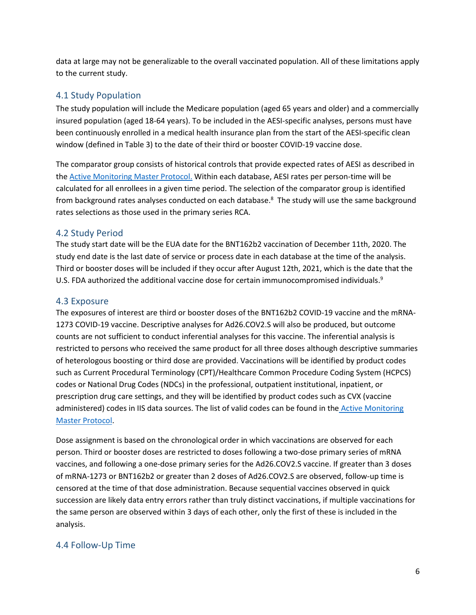data at large may not be generalizable to the overall vaccinated population. All of these limitations apply to the current study.

## 4.1 Study Population

The study population will include the Medicare population (aged 65 years and older) and a commercially insured population (aged 18-64 years). To be included in the AESI-specific analyses, persons must have been continuously enrolled in a medical health insurance plan from the start of the AESI-specific clean window (defined in Table 3) to the date of their third or booster COVID-19 vaccine dose.

The comparator group consists of historical controls that provide expected rates of AESI as described in the [Active Monitoring Master Protocol.](https://www.bestinitiative.org/wp-content/uploads/2021/02/C19-Vaccine-Safety-Protocol-2021.pdf) Within each database, AESI rates per person-time will be calculated for all enrollees in a given time period. The selection of the comparator group is identified from background rates analyses conducted on each database.<sup>8</sup> The study will use the same background rates selections as those used in the primary series RCA.

## 4.2 Study Period

The study start date will be the EUA date for the BNT162b2 vaccination of December 11th, 2020. The study end date is the last date of service or process date in each database at the time of the analysis. Third or booster doses will be included if they occur after August 12th, 2021, which is the date that the U.S. FDA authorized the additional vaccine dose for certain immunocompromised individuals.<sup>9</sup>

## 4.3 Exposure

The exposures of interest are third or booster doses of the BNT162b2 COVID-19 vaccine and the mRNA-1273 COVID-19 vaccine. Descriptive analyses for Ad26.COV2.S will also be produced, but outcome counts are not sufficient to conduct inferential analyses for this vaccine. The inferential analysis is restricted to persons who received the same product for all three doses although descriptive summaries of heterologous boosting or third dose are provided. Vaccinations will be identified by product codes such as Current Procedural Terminology (CPT)/Healthcare Common Procedure Coding System (HCPCS) codes or National Drug Codes (NDCs) in the professional, outpatient institutional, inpatient, or prescription drug care settings, and they will be identified by product codes such as CVX (vaccine administered) codes in IIS data sources. The list of valid codes can be found in the Active Monitoring [Master Protocol.](https://www.bestinitiative.org/wp-content/uploads/2021/02/C19-Vaccine-Safety-Protocol-2021.pdf)

Dose assignment is based on the chronological order in which vaccinations are observed for each person. Third or booster doses are restricted to doses following a two-dose primary series of mRNA vaccines, and following a one-dose primary series for the Ad26.COV2.S vaccine. If greater than 3 doses of mRNA-1273 or BNT162b2 or greater than 2 doses of Ad26.COV2.S are observed, follow-up time is censored at the time of that dose administration. Because sequential vaccines observed in quick succession are likely data entry errors rather than truly distinct vaccinations, if multiple vaccinations for the same person are observed within 3 days of each other, only the first of these is included in the analysis.

## 4.4 Follow-Up Time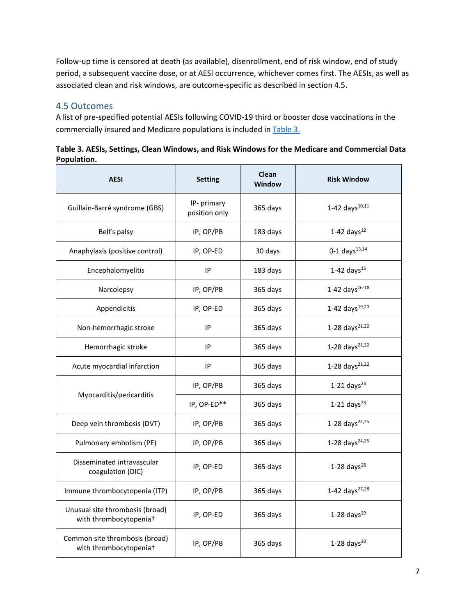Follow-up time is censored at death (as available), disenrollment, end of risk window, end of study period, a subsequent vaccine dose, or at AESI occurrence, whichever comes first. The AESIs, as well as associated clean and risk windows, are outcome-specific as described in section 4.5.

## 4.5 Outcomes

A list of pre-specified potential AESIs following COVID-19 third or booster dose vaccinations in the commercially insured and Medicare populations is included in [Table 3.](#page-6-0)

<span id="page-6-0"></span>**Table 3. AESIs, Settings, Clean Windows, and Risk Windows for the Medicare and Commercial Data Population.**

| <b>AESI</b>                                                           | <b>Setting</b>               | Clean<br><b>Window</b> | <b>Risk Window</b>         |
|-----------------------------------------------------------------------|------------------------------|------------------------|----------------------------|
| Guillain-Barré syndrome (GBS)                                         | IP- primary<br>position only | 365 days               | 1-42 days $^{10,11}$       |
| Bell's palsy                                                          | IP, OP/PB                    | 183 days               | 1-42 days $^{12}$          |
| Anaphylaxis (positive control)                                        | IP, OP-ED                    | 30 days                | 0-1 days $^{13,14}$        |
| Encephalomyelitis                                                     | IP                           | 183 days               | 1-42 days $^{15}$          |
| Narcolepsy                                                            | IP, OP/PB                    | 365 days               | 1-42 days $^{16-18}$       |
| Appendicitis                                                          | IP, OP-ED                    | 365 days               | 1-42 days $^{19,20}$       |
| Non-hemorrhagic stroke                                                | IP                           | 365 days               | 1-28 days $^{21,22}$       |
| Hemorrhagic stroke                                                    | IP                           | 365 days               | 1-28 days <sup>21,22</sup> |
| Acute myocardial infarction                                           | IP                           | 365 days               | 1-28 days $^{21,22}$       |
|                                                                       | IP, OP/PB                    | 365 days               | $1-21$ days <sup>23</sup>  |
| Myocarditis/pericarditis                                              | IP, OP-ED**                  | 365 days               | $1-21$ days <sup>23</sup>  |
| Deep vein thrombosis (DVT)                                            | IP, OP/PB                    | 365 days               | 1-28 days <sup>24,25</sup> |
| Pulmonary embolism (PE)                                               | IP, OP/PB                    | 365 days               | 1-28 days <sup>24,25</sup> |
| Disseminated intravascular<br>coagulation (DIC)                       | IP, OP-ED                    | 365 days               | 1-28 days $^{26}$          |
| Immune thrombocytopenia (ITP)                                         | IP, OP/PB                    | 365 days               | 1-42 days <sup>27,28</sup> |
| Unusual site thrombosis (broad)<br>with thrombocytopenia <sup>+</sup> | IP, OP-ED                    | 365 days               | 1-28 days $^{29}$          |
| Common site thrombosis (broad)<br>with thrombocytopenia <sup>+</sup>  | IP, OP/PB                    | 365 days               | 1-28 days $30$             |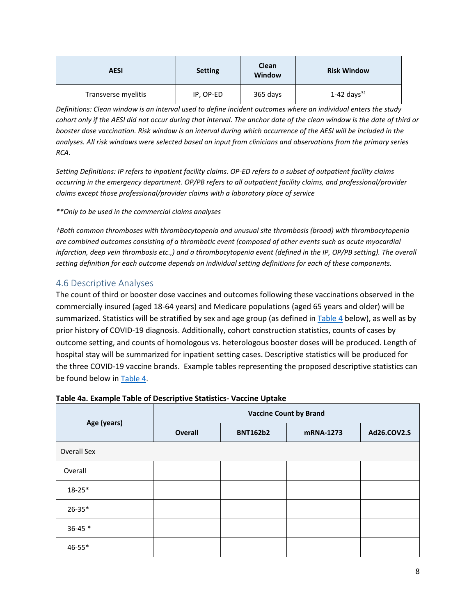| <b>AESI</b>         | <b>Setting</b> | Clean<br><b>Window</b> | <b>Risk Window</b> |
|---------------------|----------------|------------------------|--------------------|
| Transverse myelitis | IP, OP-ED      | 365 days               | 1-42 days $^{31}$  |

*Definitions: Clean window is an interval used to define incident outcomes where an individual enters the study cohort only if the AESI did not occur during that interval. The anchor date of the clean window is the date of third or booster dose vaccination. Risk window is an interval during which occurrence of the AESI will be included in the analyses. All risk windows were selected based on input from clinicians and observations from the primary series RCA.* 

*Setting Definitions: IP refers to inpatient facility claims. OP-ED refers to a subset of outpatient facility claims occurring in the emergency department. OP/PB refers to all outpatient facility claims, and professional/provider claims except those professional/provider claims with a laboratory place of service*

*\*\*Only to be used in the commercial claims analyses* 

*†Both common thromboses with thrombocytopenia and unusual site thrombosis (broad) with thrombocytopenia are combined outcomes consisting of a thrombotic event (composed of other events such as acute myocardial*  infarction, deep vein thrombosis etc.,) and a thrombocytopenia event (defined in the IP, OP/PB setting). The overall *setting definition for each outcome depends on individual setting definitions for each of these components.* 

## 4.6 Descriptive Analyses

The count of third or booster dose vaccines and outcomes following these vaccinations observed in the commercially insured (aged 18-64 years) and Medicare populations (aged 65 years and older) will be summarized. Statistics will be stratified by sex and age group (as defined i[n Table 4](#page-7-0) below), as well as by prior history of COVID-19 diagnosis. Additionally, cohort construction statistics, counts of cases by outcome setting, and counts of homologous vs. heterologous booster doses will be produced. Length of hospital stay will be summarized for inpatient setting cases. Descriptive statistics will be produced for the three COVID-19 vaccine brands. Example tables representing the proposed descriptive statistics can be found below in [Table 4.](#page-7-0)

|                    | <b>Vaccine Count by Brand</b> |                 |           |             |  |
|--------------------|-------------------------------|-----------------|-----------|-------------|--|
| Age (years)        | <b>Overall</b>                | <b>BNT162b2</b> | mRNA-1273 | Ad26.COV2.S |  |
| <b>Overall Sex</b> |                               |                 |           |             |  |
| Overall            |                               |                 |           |             |  |
| $18 - 25*$         |                               |                 |           |             |  |
| $26 - 35*$         |                               |                 |           |             |  |
| $36 - 45$ *        |                               |                 |           |             |  |
| 46-55*             |                               |                 |           |             |  |

#### <span id="page-7-0"></span>**Table 4a. Example Table of Descriptive Statistics- Vaccine Uptake**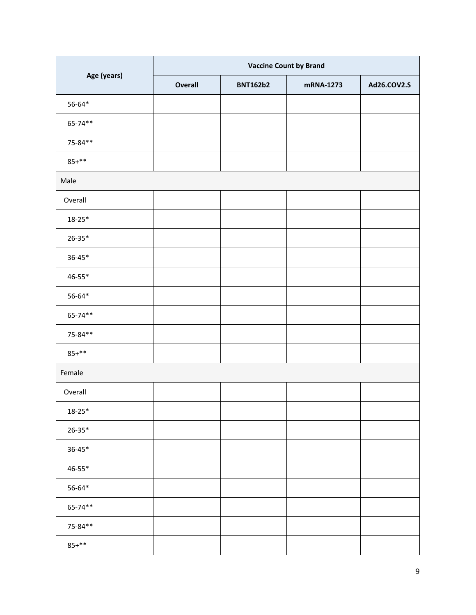|             | <b>Vaccine Count by Brand</b> |                 |           |             |  |
|-------------|-------------------------------|-----------------|-----------|-------------|--|
| Age (years) | <b>Overall</b>                | <b>BNT162b2</b> | mRNA-1273 | Ad26.COV2.S |  |
| $56 - 64*$  |                               |                 |           |             |  |
| 65-74**     |                               |                 |           |             |  |
| 75-84**     |                               |                 |           |             |  |
| $85+***$    |                               |                 |           |             |  |
| Male        |                               |                 |           |             |  |
| Overall     |                               |                 |           |             |  |
| $18 - 25*$  |                               |                 |           |             |  |
| $26 - 35*$  |                               |                 |           |             |  |
| $36 - 45*$  |                               |                 |           |             |  |
| $46 - 55*$  |                               |                 |           |             |  |
| $56 - 64*$  |                               |                 |           |             |  |
| 65-74**     |                               |                 |           |             |  |
| 75-84**     |                               |                 |           |             |  |
| $85+***$    |                               |                 |           |             |  |
| Female      |                               |                 |           |             |  |
| Overall     |                               |                 |           |             |  |
| $18 - 25*$  |                               |                 |           |             |  |
| $26 - 35*$  |                               |                 |           |             |  |
| $36 - 45*$  |                               |                 |           |             |  |
| 46-55*      |                               |                 |           |             |  |
| $56 - 64*$  |                               |                 |           |             |  |
| 65-74**     |                               |                 |           |             |  |
| 75-84**     |                               |                 |           |             |  |
| $85+***$    |                               |                 |           |             |  |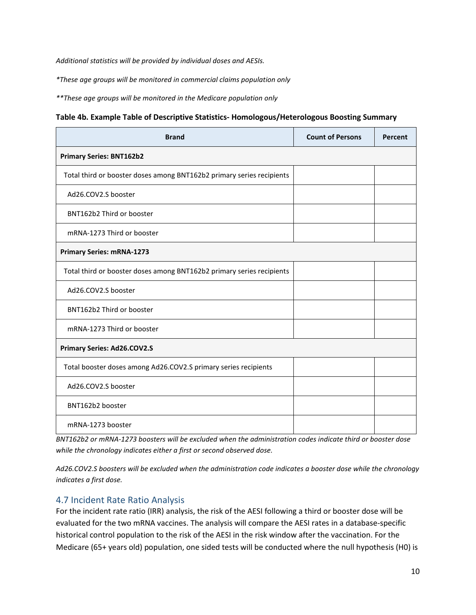*Additional statistics will be provided by individual doses and AESIs.*

*\*These age groups will be monitored in commercial claims population only*

*\*\*These age groups will be monitored in the Medicare population only*

|  | Table 4b. Example Table of Descriptive Statistics- Homologous/Heterologous Boosting Summary |  |  |
|--|---------------------------------------------------------------------------------------------|--|--|
|--|---------------------------------------------------------------------------------------------|--|--|

| <b>Brand</b>                                                          | <b>Count of Persons</b> | Percent |
|-----------------------------------------------------------------------|-------------------------|---------|
| <b>Primary Series: BNT162b2</b>                                       |                         |         |
| Total third or booster doses among BNT162b2 primary series recipients |                         |         |
| Ad26.COV2.S booster                                                   |                         |         |
| BNT162b2 Third or booster                                             |                         |         |
| mRNA-1273 Third or booster                                            |                         |         |
| <b>Primary Series: mRNA-1273</b>                                      |                         |         |
| Total third or booster doses among BNT162b2 primary series recipients |                         |         |
| Ad26.COV2.S booster                                                   |                         |         |
| BNT162b2 Third or booster                                             |                         |         |
| mRNA-1273 Third or booster                                            |                         |         |
| Primary Series: Ad26.COV2.S                                           |                         |         |
| Total booster doses among Ad26.COV2.S primary series recipients       |                         |         |
| Ad26.COV2.S booster                                                   |                         |         |
| BNT162b2 booster                                                      |                         |         |
| mRNA-1273 booster                                                     |                         |         |

*BNT162b2 or mRNA-1273 boosters will be excluded when the administration codes indicate third or booster dose while the chronology indicates either a first or second observed dose.* 

*Ad26.COV2.S boosters will be excluded when the administration code indicates a booster dose while the chronology indicates a first dose.* 

### 4.7 Incident Rate Ratio Analysis

For the incident rate ratio (IRR) analysis, the risk of the AESI following a third or booster dose will be evaluated for the two mRNA vaccines. The analysis will compare the AESI rates in a database-specific historical control population to the risk of the AESI in the risk window after the vaccination. For the Medicare (65+ years old) population, one sided tests will be conducted where the null hypothesis (H0) is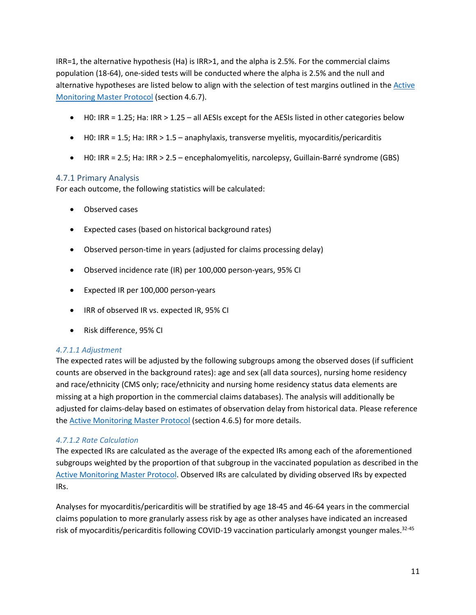IRR=1, the alternative hypothesis (Ha) is IRR>1, and the alpha is 2.5%. For the commercial claims population (18-64), one-sided tests will be conducted where the alpha is 2.5% and the null and alternative hypotheses are listed below to align with the selection of test margins outlined in the **Active** [Monitoring Master Protocol](https://www.bestinitiative.org/wp-content/uploads/2021/02/C19-Vaccine-Safety-Protocol-2021.pdf) (section 4.6.7).

- $\bullet$  H0: IRR = 1.25; Ha: IRR > 1.25 all AESIs except for the AESIs listed in other categories below
- $\bullet$  H0: IRR = 1.5; Ha: IRR > 1.5 anaphylaxis, transverse myelitis, myocarditis/pericarditis
- H0: IRR = 2.5; Ha: IRR > 2.5 encephalomyelitis, narcolepsy, Guillain-Barré syndrome (GBS)

#### 4.7.1 Primary Analysis

For each outcome, the following statistics will be calculated:

- Observed cases
- Expected cases (based on historical background rates)
- Observed person-time in years (adjusted for claims processing delay)
- Observed incidence rate (IR) per 100,000 person-years, 95% CI
- Expected IR per 100,000 person-years
- IRR of observed IR vs. expected IR, 95% CI
- Risk difference, 95% CI

#### *4.7.1.1 Adjustment*

The expected rates will be adjusted by the following subgroups among the observed doses (if sufficient counts are observed in the background rates): age and sex (all data sources), nursing home residency and race/ethnicity (CMS only; race/ethnicity and nursing home residency status data elements are missing at a high proportion in the commercial claims databases). The analysis will additionally be adjusted for claims-delay based on estimates of observation delay from historical data. Please reference the **Active Monitoring Master Protocol** (section 4.6.5) for more details.

#### *4.7.1.2 Rate Calculation*

The expected IRs are calculated as the average of the expected IRs among each of the aforementioned subgroups weighted by the proportion of that subgroup in the vaccinated population as described in the [Active Monitoring Master Protocol.](https://www.bestinitiative.org/wp-content/uploads/2021/02/C19-Vaccine-Safety-Protocol-2021.pdf) Observed IRs are calculated by dividing observed IRs by expected IRs.

Analyses for myocarditis/pericarditis will be stratified by age 18-45 and 46-64 years in the commercial claims population to more granularly assess risk by age as other analyses have indicated an increased risk of myocarditis/pericarditis following COVID-19 vaccination particularly amongst younger males.<sup>32-45</sup>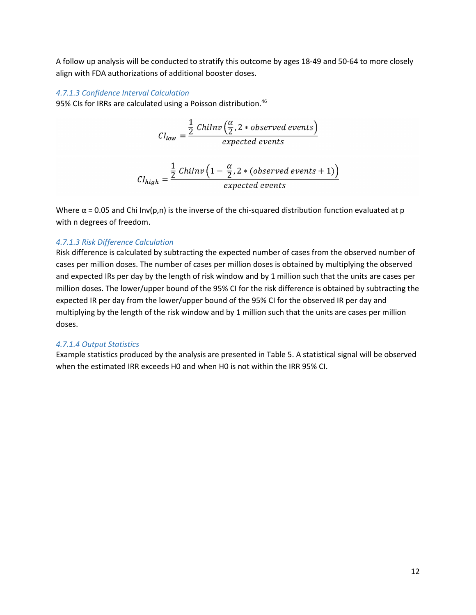A follow up analysis will be conducted to stratify this outcome by ages 18-49 and 50-64 to more closely align with FDA authorizations of additional booster doses.

#### *4.7.1.3 Confidence Interval Calculation*

95% CIs for IRRs are calculated using a Poisson distribution.<sup>46</sup>

$$
CI_{low} = \frac{\frac{1}{2} \text{Chilnv} \left(\frac{\alpha}{2}, 2 * observed events\right)}{\text{expected events}}
$$
\n
$$
CI_{high} = \frac{\frac{1}{2} \text{Chilnv} \left(1 - \frac{\alpha}{2}, 2 * (observed events + 1)\right)}{\text{expected events}}
$$

Where  $\alpha$  = 0.05 and Chi Inv(p,n) is the inverse of the chi-squared distribution function evaluated at p with n degrees of freedom.

#### *4.7.1.3 Risk Difference Calculation*

Risk difference is calculated by subtracting the expected number of cases from the observed number of cases per million doses. The number of cases per million doses is obtained by multiplying the observed and expected IRs per day by the length of risk window and by 1 million such that the units are cases per million doses. The lower/upper bound of the 95% CI for the risk difference is obtained by subtracting the expected IR per day from the lower/upper bound of the 95% CI for the observed IR per day and multiplying by the length of the risk window and by 1 million such that the units are cases per million doses.

#### *4.7.1.4 Output Statistics*

Example statistics produced by the analysis are presented in Table 5. A statistical signal will be observed when the estimated IRR exceeds H0 and when H0 is not within the IRR 95% CI.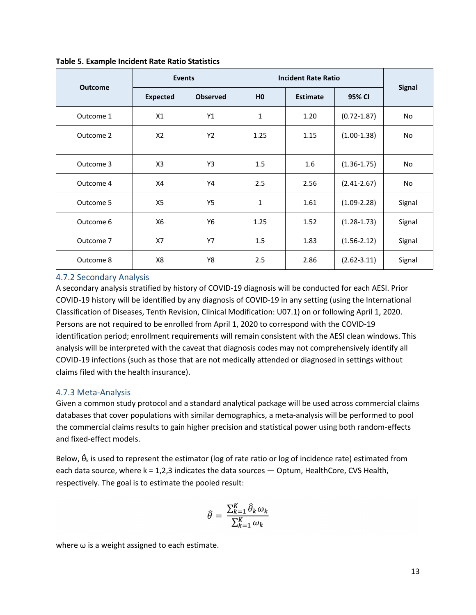|                |                 | Events          |                | <b>Incident Rate Ratio</b> |                 |               |
|----------------|-----------------|-----------------|----------------|----------------------------|-----------------|---------------|
| <b>Outcome</b> | <b>Expected</b> | <b>Observed</b> | H <sub>0</sub> | <b>Estimate</b>            | 95% CI          | <b>Signal</b> |
| Outcome 1      | X1              | Y1              | 1              | 1.20                       | $(0.72 - 1.87)$ | No            |
| Outcome 2      | X <sub>2</sub>  | Y <sub>2</sub>  | 1.25           | 1.15                       | $(1.00-1.38)$   | <b>No</b>     |
| Outcome 3      | X <sub>3</sub>  | Y3              | 1.5            | $1.6\,$                    | $(1.36 - 1.75)$ | No            |
| Outcome 4      | X4              | Y4              | 2.5            | 2.56                       | $(2.41 - 2.67)$ | No            |
| Outcome 5      | X5              | Y5              | 1              | 1.61                       | $(1.09 - 2.28)$ | Signal        |
| Outcome 6      | X6              | Y6              | 1.25           | 1.52                       | $(1.28 - 1.73)$ | Signal        |
| Outcome 7      | X7              | <b>Y7</b>       | 1.5            | 1.83                       | $(1.56 - 2.12)$ | Signal        |
| Outcome 8      | X8              | Y8              | 2.5            | 2.86                       | $(2.62 - 3.11)$ | Signal        |

**Table 5. Example Incident Rate Ratio Statistics** 

#### 4.7.2 Secondary Analysis

A secondary analysis stratified by history of COVID-19 diagnosis will be conducted for each AESI. Prior COVID-19 history will be identified by any diagnosis of COVID-19 in any setting (using the International Classification of Diseases, Tenth Revision, Clinical Modification: U07.1) on or following April 1, 2020. Persons are not required to be enrolled from April 1, 2020 to correspond with the COVID-19 identification period; enrollment requirements will remain consistent with the AESI clean windows. This analysis will be interpreted with the caveat that diagnosis codes may not comprehensively identify all COVID-19 infections (such as those that are not medically attended or diagnosed in settings without claims filed with the health insurance).

#### 4.7.3 Meta-Analysis

Given a common study protocol and a standard analytical package will be used across commercial claims databases that cover populations with similar demographics, a meta-analysis will be performed to pool the commercial claims results to gain higher precision and statistical power using both random-effects and fixed-effect models.

Below,  $\hat{\theta}_k$  is used to represent the estimator (log of rate ratio or log of incidence rate) estimated from each data source, where  $k = 1,2,3$  indicates the data sources  $-$  Optum, HealthCore, CVS Health, respectively. The goal is to estimate the pooled result:

$$
\hat{\theta} = \frac{\sum_{k=1}^{K} \hat{\theta}_k \omega_k}{\sum_{k=1}^{K} \omega_k}
$$

where  $\omega$  is a weight assigned to each estimate.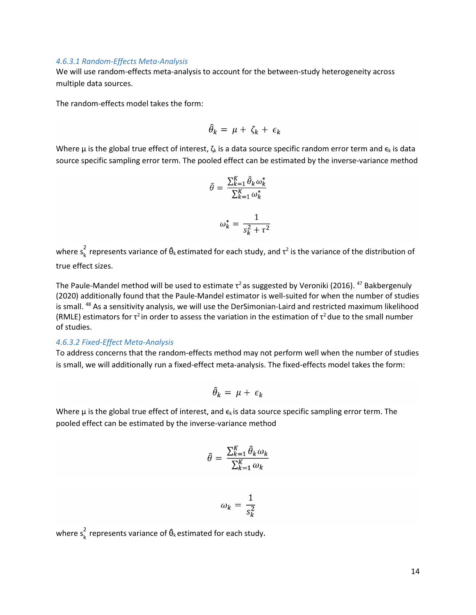#### *4.6.3.1 Random-Effects Meta-Analysis*

We will use random-effects meta-analysis to account for the between-study heterogeneity across multiple data sources.

The random-effects model takes the form:

$$
\widehat{\theta}_k = \mu + \zeta_k + \epsilon_k
$$

Where  $\mu$  is the global true effect of interest,  $\zeta_k$  is a data source specific random error term and  $\epsilon_k$  is data source specific sampling error term. The pooled effect can be estimated by the inverse-variance method

$$
\hat{\theta} = \frac{\sum_{k=1}^{K} \hat{\theta}_k \omega_k^*}{\sum_{k=1}^{K} \omega_k^*}
$$

$$
\omega_k^* = \frac{1}{s_k^2 + \tau^2}
$$

where  $s_k^2$  represents variance of  $\hat{\theta}_k$  estimated for each study, and  $\tau^2$  is the variance of the distribution of true effect sizes.

The Paule-Mandel method will be used to estimate  $\tau^2$  as suggested by Veroniki (2016). <sup>47</sup> Bakbergenuly (2020) additionally found that the Paule-Mandel estimator is well-suited for when the number of studies is small. 48 As a sensitivity analysis, we will use the DerSimonian-Laird and restricted maximum likelihood (RMLE) estimators for  $\tau^2$  in order to assess the variation in the estimation of  $\tau^2$  due to the small number of studies.

#### *4.6.3.2 Fixed-Effect Meta-Analysis*

To address concerns that the random-effects method may not perform well when the number of studies is small, we will additionally run a fixed-effect meta-analysis. The fixed-effects model takes the form:

$$
\widehat{\theta}_k = \mu + \epsilon_k
$$

Where  $\mu$  is the global true effect of interest, and  $\epsilon_k$  is data source specific sampling error term. The pooled effect can be estimated by the inverse-variance method

$$
\hat{\theta} = \frac{\sum_{k=1}^{K} \hat{\theta}_k \omega_k}{\sum_{k=1}^{K} \omega_k}
$$

$$
\omega_k = \frac{1}{s_k^2}
$$

where  $s_k^2$  represents variance of  $\hat{\theta}_k$  estimated for each study.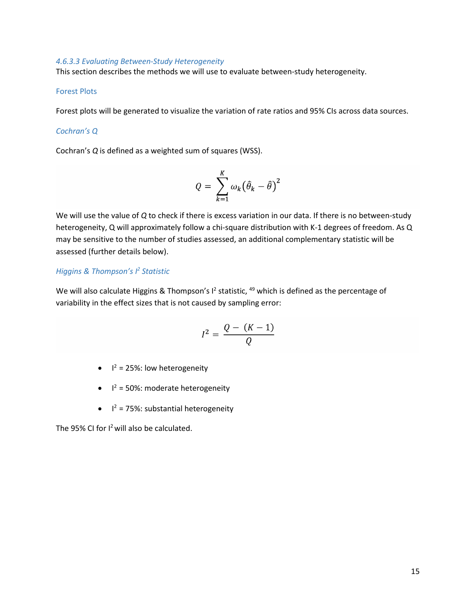#### *4.6.3.3 Evaluating Between-Study Heterogeneity*

This section describes the methods we will use to evaluate between-study heterogeneity.

#### Forest Plots

Forest plots will be generated to visualize the variation of rate ratios and 95% CIs across data sources.

#### *Cochran's Q*

Cochran's *Q* is defined as a weighted sum of squares (WSS).

$$
Q = \sum_{k=1}^K \omega_k (\widehat{\theta}_k - \widehat{\theta})^2
$$

We will use the value of *Q* to check if there is excess variation in our data. If there is no between-study heterogeneity, Q will approximately follow a chi-square distribution with K-1 degrees of freedom. As Q may be sensitive to the number of studies assessed, an additional complementary statistic will be assessed (further details below).

#### *Higgins & Thompson's I <sup>2</sup> Statistic*

We will also calculate Higgins & Thompson's I<sup>2</sup> statistic, <sup>49</sup> which is defined as the percentage of variability in the effect sizes that is not caused by sampling error:

$$
I^2 = \frac{Q - (K - 1)}{Q}
$$

- $\bullet$   $I^2 = 25\%$ : low heterogeneity
- $\bullet$   $I^2 = 50\%$ : moderate heterogeneity
- $\bullet$   $I^2 = 75\%$ : substantial heterogeneity

The 95% CI for  $I^2$  will also be calculated.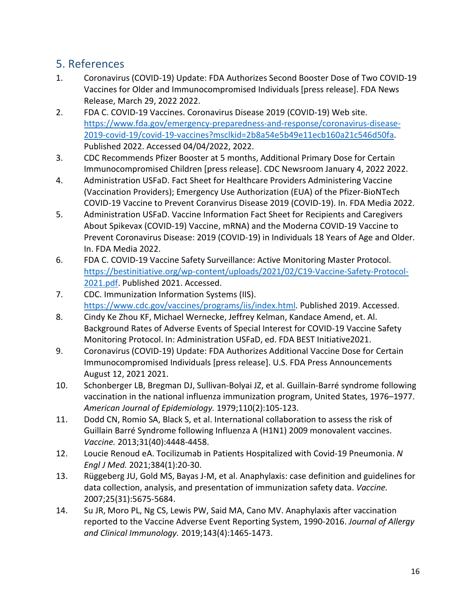## 5. References

- 1. Coronavirus (COVID-19) Update: FDA Authorizes Second Booster Dose of Two COVID-19 Vaccines for Older and Immunocompromised Individuals [press release]. FDA News Release, March 29, 2022 2022.
- 2. FDA C. COVID-19 Vaccines. Coronavirus Disease 2019 (COVID-19) Web site. [https://www.fda.gov/emergency-preparedness-and-response/coronavirus-disease-](https://www.fda.gov/emergency-preparedness-and-response/coronavirus-disease-2019-covid-19/covid-19-vaccines?msclkid=2b8a54e5b49e11ecb160a21c546d50fa)[2019-covid-19/covid-19-vaccines?msclkid=2b8a54e5b49e11ecb160a21c546d50fa.](https://www.fda.gov/emergency-preparedness-and-response/coronavirus-disease-2019-covid-19/covid-19-vaccines?msclkid=2b8a54e5b49e11ecb160a21c546d50fa) Published 2022. Accessed 04/04/2022, 2022.
- 3. CDC Recommends Pfizer Booster at 5 months, Additional Primary Dose for Certain Immunocompromised Children [press release]. CDC Newsroom January 4, 2022 2022.
- 4. Administration USFaD. Fact Sheet for Healthcare Providers Administering Vaccine (Vaccination Providers); Emergency Use Authorization (EUA) of the Pfizer-BioNTech COVID-19 Vaccine to Prevent Coranvirus Disease 2019 (COVID-19). In. FDA Media 2022.
- 5. Administration USFaD. Vaccine Information Fact Sheet for Recipients and Caregivers About Spikevax (COVID-19) Vaccine, mRNA) and the Moderna COVID-19 Vaccine to Prevent Coronavirus Disease: 2019 (COVID-19) in Individuals 18 Years of Age and Older. In. FDA Media 2022.
- 6. FDA C. COVID-19 Vaccine Safety Surveillance: Active Monitoring Master Protocol. [https://bestinitiative.org/wp-content/uploads/2021/02/C19-Vaccine-Safety-Protocol-](https://bestinitiative.org/wp-content/uploads/2021/02/C19-Vaccine-Safety-Protocol-2021.pdf)[2021.pdf.](https://bestinitiative.org/wp-content/uploads/2021/02/C19-Vaccine-Safety-Protocol-2021.pdf) Published 2021. Accessed.
- 7. CDC. Immunization Information Systems (IIS). [https://www.cdc.gov/vaccines/programs/iis/index.html.](https://www.cdc.gov/vaccines/programs/iis/index.html) Published 2019. Accessed.
- 8. Cindy Ke Zhou KF, Michael Wernecke, Jeffrey Kelman, Kandace Amend, et. Al. Background Rates of Adverse Events of Special Interest for COVID-19 Vaccine Safety Monitoring Protocol. In: Administration USFaD, ed. FDA BEST Initiative2021.
- 9. Coronavirus (COVID-19) Update: FDA Authorizes Additional Vaccine Dose for Certain Immunocompromised Individuals [press release]. U.S. FDA Press Announcements August 12, 2021 2021.
- 10. Schonberger LB, Bregman DJ, Sullivan-Bolyai JZ, et al. Guillain-Barré syndrome following vaccination in the national influenza immunization program, United States, 1976–1977. *American Journal of Epidemiology.* 1979;110(2):105-123.
- 11. Dodd CN, Romio SA, Black S, et al. International collaboration to assess the risk of Guillain Barré Syndrome following Influenza A (H1N1) 2009 monovalent vaccines. *Vaccine.* 2013;31(40):4448-4458.
- 12. Loucie Renoud eA. Tocilizumab in Patients Hospitalized with Covid-19 Pneumonia. *N Engl J Med.* 2021;384(1):20-30.
- 13. Rüggeberg JU, Gold MS, Bayas J-M, et al. Anaphylaxis: case definition and guidelines for data collection, analysis, and presentation of immunization safety data. *Vaccine.*  2007;25(31):5675-5684.
- 14. Su JR, Moro PL, Ng CS, Lewis PW, Said MA, Cano MV. Anaphylaxis after vaccination reported to the Vaccine Adverse Event Reporting System, 1990-2016. *Journal of Allergy and Clinical Immunology.* 2019;143(4):1465-1473.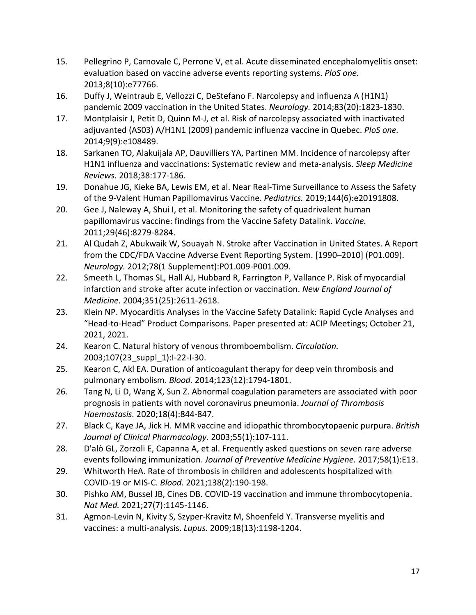- 15. Pellegrino P, Carnovale C, Perrone V, et al. Acute disseminated encephalomyelitis onset: evaluation based on vaccine adverse events reporting systems. *PloS one.*  2013;8(10):e77766.
- 16. Duffy J, Weintraub E, Vellozzi C, DeStefano F. Narcolepsy and influenza A (H1N1) pandemic 2009 vaccination in the United States. *Neurology.* 2014;83(20):1823-1830.
- 17. Montplaisir J, Petit D, Quinn M-J, et al. Risk of narcolepsy associated with inactivated adjuvanted (AS03) A/H1N1 (2009) pandemic influenza vaccine in Quebec. *PloS one.*  2014;9(9):e108489.
- 18. Sarkanen TO, Alakuijala AP, Dauvilliers YA, Partinen MM. Incidence of narcolepsy after H1N1 influenza and vaccinations: Systematic review and meta-analysis. *Sleep Medicine Reviews.* 2018;38:177-186.
- 19. Donahue JG, Kieke BA, Lewis EM, et al. Near Real-Time Surveillance to Assess the Safety of the 9-Valent Human Papillomavirus Vaccine. *Pediatrics.* 2019;144(6):e20191808.
- 20. Gee J, Naleway A, Shui I, et al. Monitoring the safety of quadrivalent human papillomavirus vaccine: findings from the Vaccine Safety Datalink. *Vaccine.*  2011;29(46):8279-8284.
- 21. Al Qudah Z, Abukwaik W, Souayah N. Stroke after Vaccination in United States. A Report from the CDC/FDA Vaccine Adverse Event Reporting System. [1990–2010] (P01.009). *Neurology.* 2012;78(1 Supplement):P01.009-P001.009.
- 22. Smeeth L, Thomas SL, Hall AJ, Hubbard R, Farrington P, Vallance P. Risk of myocardial infarction and stroke after acute infection or vaccination. *New England Journal of Medicine.* 2004;351(25):2611-2618.
- 23. Klein NP. Myocarditis Analyses in the Vaccine Safety Datalink: Rapid Cycle Analyses and "Head-to-Head" Product Comparisons. Paper presented at: ACIP Meetings; October 21, 2021, 2021.
- 24. Kearon C. Natural history of venous thromboembolism. *Circulation.*  2003;107(23\_suppl\_1):I-22-I-30.
- 25. Kearon C, Akl EA. Duration of anticoagulant therapy for deep vein thrombosis and pulmonary embolism. *Blood.* 2014;123(12):1794-1801.
- 26. Tang N, Li D, Wang X, Sun Z. Abnormal coagulation parameters are associated with poor prognosis in patients with novel coronavirus pneumonia. *Journal of Thrombosis Haemostasis.* 2020;18(4):844-847.
- 27. Black C, Kaye JA, Jick H. MMR vaccine and idiopathic thrombocytopaenic purpura. *British Journal of Clinical Pharmacology.* 2003;55(1):107-111.
- 28. D'alò GL, Zorzoli E, Capanna A, et al. Frequently asked questions on seven rare adverse events following immunization. *Journal of Preventive Medicine Hygiene.* 2017;58(1):E13.
- 29. Whitworth HeA. Rate of thrombosis in children and adolescents hospitalized with COVID-19 or MIS-C. *Blood.* 2021;138(2):190-198.
- 30. Pishko AM, Bussel JB, Cines DB. COVID-19 vaccination and immune thrombocytopenia. *Nat Med.* 2021;27(7):1145-1146.
- 31. Agmon-Levin N, Kivity S, Szyper-Kravitz M, Shoenfeld Y. Transverse myelitis and vaccines: a multi-analysis. *Lupus.* 2009;18(13):1198-1204.